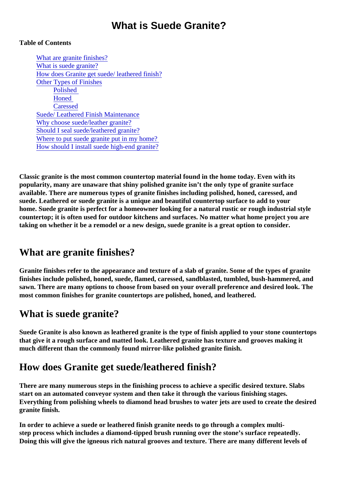## What is Suede Granite?

#### Table of Contents

What are granite finishes? What is suede granite? How does Granite get suede/ leathered finish? [Other Types of Finishe](#page-1-0)s [Polished](#page-1-0) **[Honed](#page-1-0) [Caresse](#page-1-0)d** [Suede/ Leathered Finish Maintena](#page-2-0)nce [Why choose suede/leather gran](#page-2-0)ite? [Should I seal suede/leathered gran](#page-2-0)ite? [Where to put suede granite put in my hom](#page-2-0)e? [How should I install suede high-end gran](#page-3-0)ite?

Classic granite is the most common countertop material found in the home today. Even with its popularity, many are unaware that shiny polished granite isn't the only type of granite surface available. There are numerous types of granite finishes including polished, honed, caressed, and suede. Leathered or suede granite is a unique and beautiful countertop surface to add to your home. Suede granite is perfect for a homeowner looking for a natural rustic or rough industrial style countertop; it is often used for outdoor kitchens and surfaces to matter what home project you are taking on whether it be a remodel or a new design, suede granite is a great option to consider.

## What are granite finishes?

Granite finishes refer to the appearance and texture of a slab of granite. Some of the types of granite finishes include polished, honed, suede, flamed, caressed, sandblasted, tumbled, bush-hammered, and sawn. There are many options to choose from based on your overall preference and desired look. The most common finishes for granite countertops are polished, honed, and leathered.

# What is suede granite?

Suede Granite is also known as leathered granite is the type of finish applied to your stone countertops that give it a rough surface and matted look. Leathered granite has texture and grooves making it much different than the commonly found mirror-like polished granite finish.

# How does Granite get suede/leathered finish?

There are many numerous steps in the finishing process to achieve a specific desired texture. Slabs start on an automated conveyor system and then take it through the various finishing stages. Everything from polishing wheels to diamond head brushes to water jets are used to create the desired granite finish.

In order to achieve a suede or leathered finish granite needs to go through a complex multistep process which includea diamond-tipped brush running over the stone's surface repeatedly. Doing this will give the igneous rich natural grooves and texture. There are many different levels of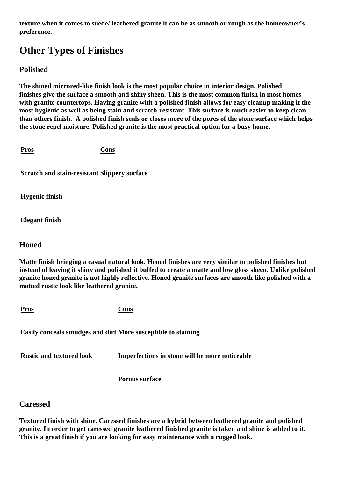<span id="page-1-0"></span>**texture when it comes to suede/ leathered granite it can be as smooth or rough as the homeowner's preference.**

# **Other Types of Finishes**

#### **Polished**

**The shined mirrored-like finish look is the most popular choice in interior design. Polished finishes give the surface a smooth and shiny sheen. This is the most common finish in most homes with granite countertops. Having granite with a polished finish allows for easy cleanup making it the most hygienic as well as being stain and scratch-resistant. This surface is much easier to keep clean than others finish. A polished finish seals or closes more of the pores of the stone surface which helps the stone repel moisture. Polished granite is the most practical option for a busy home.** 

**Pros Cons**

**Scratch and stain-resistant Slippery surface**

**Hygenic finish** 

**Elegant finish**

#### **Honed**

**Matte finish bringing a casual natural look. Honed finishes are very similar to polished finishes but instead of leaving it shiny and polished it buffed to create a matte and low gloss sheen. Unlike polished granite honed granite is not highly reflective. Honed granite surfaces are smooth like polished with a matted rustic look like leathered granite.**

| <b>Pros</b>                                                   | Cons                                           |
|---------------------------------------------------------------|------------------------------------------------|
| Easily conceals smudges and dirt More susceptible to staining |                                                |
| <b>Rustic and textured look</b>                               | Imperfections in stone will be more noticeable |

**Porous surface**

#### **Caressed**

**Textured finish with shine. Caressed finishes are a hybrid between leathered granite and polished granite. In order to get caressed granite leathered finished granite is taken and shine is added to it. This is a great finish if you are looking for easy maintenance with a rugged look.**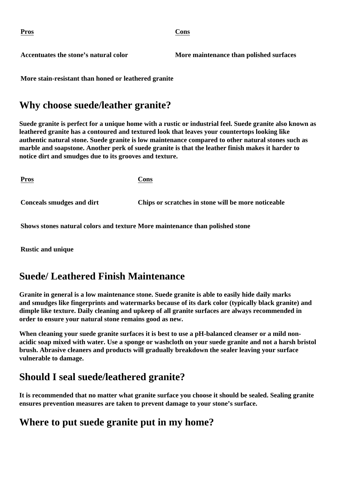<span id="page-2-0"></span>

**Pros Cons**

Accentuates the stone's natural color **More maintenance than polished surfaces** 

**More stain-resistant than honed or leathered granite**

### **Why choose suede/leather granite?**

**Suede granite is perfect for a unique home with a rustic or industrial feel. Suede granite also known as leathered granite has a contoured and textured look that leaves your countertops looking like authentic natural stone. Suede granite is low maintenance compared to other natural stones such as marble and soapstone. Another perk of suede granite is that the leather finish makes it harder to notice dirt and smudges due to its grooves and texture.** 

| <u>Pros</u>                      | Cons                                                |
|----------------------------------|-----------------------------------------------------|
| <b>Conceals smudges and dirt</b> | Chips or scratches in stone will be more noticeable |

**Shows stones natural colors and texture More maintenance than polished stone**

**Rustic and unique**

### **Suede/ Leathered Finish Maintenance**

**Granite in general is a low maintenance stone. Suede granite is able to easily hide daily marks and smudges like fingerprints and watermarks because of its dark color (typically black granite) and dimple like texture. Daily cleaning and upkeep of all granite surfaces are always recommended in order to ensure your natural stone remains good as new.**

**When cleaning your suede granite surfaces it is best to use a pH-balanced cleanser or a mild nonacidic soap mixed with water. Use a sponge or washcloth on your suede granite and not a harsh bristol brush. Abrasive cleaners and products will gradually breakdown the sealer leaving your surface vulnerable to damage.**

### **Should I seal suede/leathered granite?**

**It is recommended that no matter what granite surface you choose it should be sealed. Sealing granite ensures prevention measures are taken to prevent damage to your stone's surface.**

### **Where to put suede granite put in my home?**